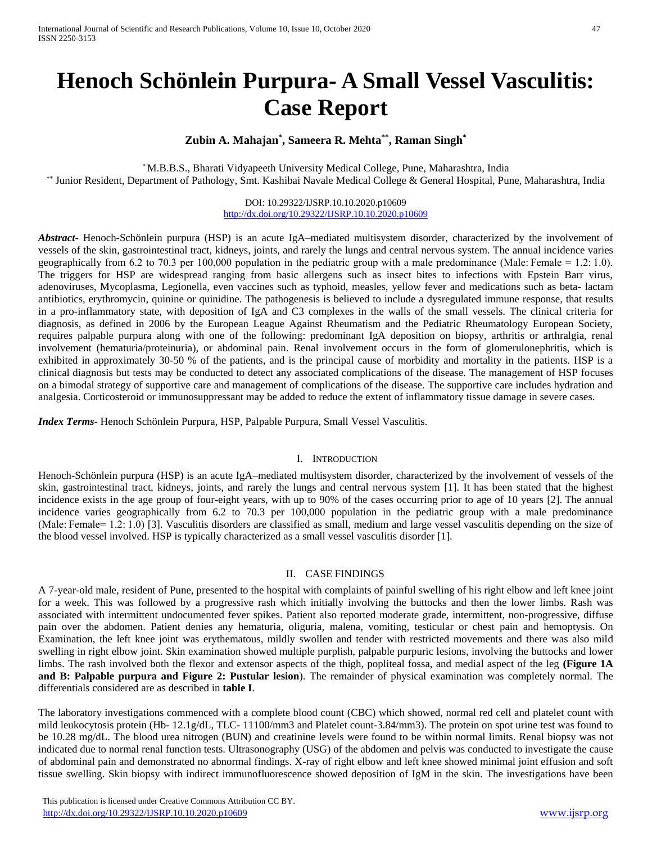# **Henoch Schönlein Purpura- A Small Vessel Vasculitis: Case Report**

# **Zubin A. Mahajan\* , Sameera R. Mehta\*\* , Raman Singh\***

\* M.B.B.S., Bharati Vidyapeeth University Medical College, Pune, Maharashtra, India \*\* Junior Resident, Department of Pathology, Smt. Kashibai Navale Medical College & General Hospital, Pune, Maharashtra, India

> DOI: 10.29322/IJSRP.10.10.2020.p10609 <http://dx.doi.org/10.29322/IJSRP.10.10.2020.p10609>

*Abstract***-** Henoch-Schönlein purpura (HSP) is an acute IgA–mediated multisystem disorder, characterized by the involvement of vessels of the skin, gastrointestinal tract, kidneys, joints, and rarely the lungs and central nervous system. The annual incidence varies geographically from 6.2 to 70.3 per 100,000 population in the pediatric group with a male predominance (Male: Female = 1.2: 1.0). The triggers for HSP are widespread ranging from basic allergens such as insect bites to infections with Epstein Barr virus, adenoviruses, Mycoplasma, Legionella, even vaccines such as typhoid, measles, yellow fever and medications such as beta- lactam antibiotics, erythromycin, quinine or quinidine. The pathogenesis is believed to include a dysregulated immune response, that results in a pro-inflammatory state, with deposition of IgA and C3 complexes in the walls of the small vessels. The clinical criteria for diagnosis, as defined in 2006 by the European League Against Rheumatism and the Pediatric Rheumatology European Society, requires palpable purpura along with one of the following: predominant IgA deposition on biopsy, arthritis or arthralgia, renal involvement (hematuria/proteinuria), or abdominal pain. Renal involvement occurs in the form of glomerulonephritis, which is exhibited in approximately 30-50 % of the patients, and is the principal cause of morbidity and mortality in the patients. HSP is a clinical diagnosis but tests may be conducted to detect any associated complications of the disease. The management of HSP focuses on a bimodal strategy of supportive care and management of complications of the disease. The supportive care includes hydration and analgesia. Corticosteroid or immunosuppressant may be added to reduce the extent of inflammatory tissue damage in severe cases.

*Index Terms*- Henoch Schönlein Purpura, HSP, Palpable Purpura, Small Vessel Vasculitis.

### I. INTRODUCTION

Henoch-Schönlein purpura (HSP) is an acute IgA–mediated multisystem disorder, characterized by the involvement of vessels of the skin, gastrointestinal tract, kidneys, joints, and rarely the lungs and central nervous system [1]. It has been stated that the highest incidence exists in the age group of four-eight years, with up to 90% of the cases occurring prior to age of 10 years [2]. The annual incidence varies geographically from 6.2 to 70.3 per 100,000 population in the pediatric group with a male predominance (Male: Female= 1.2: 1.0) [3]. Vasculitis disorders are classified as small, medium and large vessel vasculitis depending on the size of the blood vessel involved. HSP is typically characterized as a small vessel vasculitis disorder [1].

## II. CASE FINDINGS

A 7-year-old male, resident of Pune, presented to the hospital with complaints of painful swelling of his right elbow and left knee joint for a week. This was followed by a progressive rash which initially involving the buttocks and then the lower limbs. Rash was associated with intermittent undocumented fever spikes. Patient also reported moderate grade, intermittent, non-progressive, diffuse pain over the abdomen. Patient denies any hematuria, oliguria, malena, vomiting, testicular or chest pain and hemoptysis. On Examination, the left knee joint was erythematous, mildly swollen and tender with restricted movements and there was also mild swelling in right elbow joint. Skin examination showed multiple purplish, palpable purpuric lesions, involving the buttocks and lower limbs. The rash involved both the flexor and extensor aspects of the thigh, popliteal fossa, and medial aspect of the leg **(Figure 1A and B: Palpable purpura and Figure 2: Pustular lesion**). The remainder of physical examination was completely normal. The differentials considered are as described in **table I**.

The laboratory investigations commenced with a complete blood count (CBC) which showed, normal red cell and platelet count with mild leukocytosis protein (Hb- 12.1g/dL, TLC- 11100/mm3 and Platelet count-3.84/mm3). The protein on spot urine test was found to be 10.28 mg/dL. The blood urea nitrogen (BUN) and creatinine levels were found to be within normal limits. Renal biopsy was not indicated due to normal renal function tests. Ultrasonography (USG) of the abdomen and pelvis was conducted to investigate the cause of abdominal pain and demonstrated no abnormal findings. X-ray of right elbow and left knee showed minimal joint effusion and soft tissue swelling. Skin biopsy with indirect immunofluorescence showed deposition of IgM in the skin. The investigations have been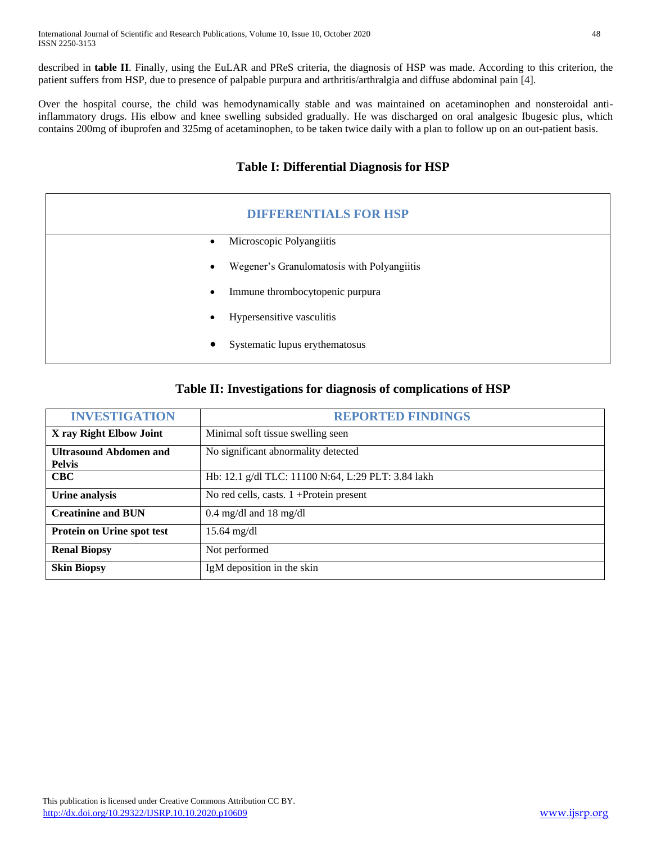described in **table II**. Finally, using the EuLAR and PReS criteria, the diagnosis of HSP was made. According to this criterion, the patient suffers from HSP, due to presence of palpable purpura and arthritis/arthralgia and diffuse abdominal pain [4].

Over the hospital course, the child was hemodynamically stable and was maintained on acetaminophen and nonsteroidal antiinflammatory drugs. His elbow and knee swelling subsided gradually. He was discharged on oral analgesic Ibugesic plus, which contains 200mg of ibuprofen and 325mg of acetaminophen, to be taken twice daily with a plan to follow up on an out-patient basis.

# **Table I: Differential Diagnosis for HSP**

| <b>DIFFERENTIALS FOR HSP</b> |                                            |
|------------------------------|--------------------------------------------|
| $\bullet$                    | Microscopic Polyangiitis                   |
| $\bullet$                    | Wegener's Granulomatosis with Polyangiitis |
| $\bullet$                    | Immune thrombocytopenic purpura            |
| ٠                            | Hypersensitive vasculitis                  |
| $\bullet$                    | Systematic lupus erythematosus             |

# **Table II: Investigations for diagnosis of complications of HSP**

| <b>INVESTIGATION</b>                           | <b>REPORTED FINDINGS</b>                           |
|------------------------------------------------|----------------------------------------------------|
| X ray Right Elbow Joint                        | Minimal soft tissue swelling seen                  |
| <b>Ultrasound Abdomen and</b><br><b>Pelvis</b> | No significant abnormality detected                |
| $_{\rm CBC}$                                   | Hb: 12.1 g/dl TLC: 11100 N:64, L:29 PLT: 3.84 lakh |
| Urine analysis                                 | No red cells, casts. $1 +$ Protein present         |
| <b>Creatinine and BUN</b>                      | 0.4 mg/dl and 18 mg/dl                             |
| Protein on Urine spot test                     | $15.64$ mg/dl                                      |
| <b>Renal Biopsy</b>                            | Not performed                                      |
| <b>Skin Biopsy</b>                             | IgM deposition in the skin                         |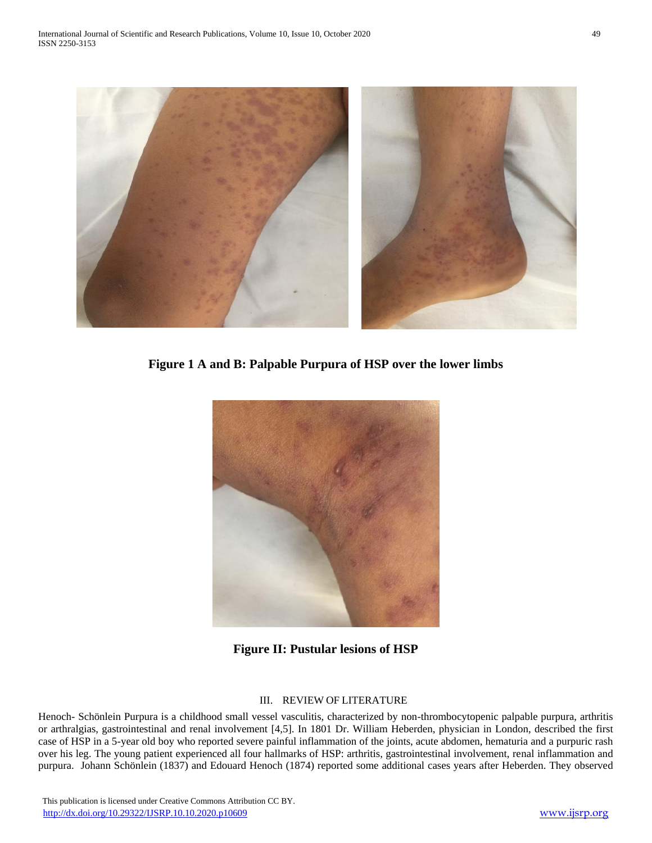

**Figure 1 A and B: Palpable Purpura of HSP over the lower limbs**



**Figure II: Pustular lesions of HSP**

## III. REVIEW OF LITERATURE

Henoch- Schönlein Purpura is a childhood small vessel vasculitis, characterized by non-thrombocytopenic palpable purpura, arthritis or arthralgias, gastrointestinal and renal involvement [4,5]. In 1801 Dr. William Heberden, physician in London, described the first case of HSP in a 5-year old boy who reported severe painful inflammation of the joints, acute abdomen, hematuria and a purpuric rash over his leg. The young patient experienced all four hallmarks of HSP: arthritis, gastrointestinal involvement, renal inflammation and purpura. Johann Schönlein (1837) and Edouard Henoch (1874) reported some additional cases years after Heberden. They observed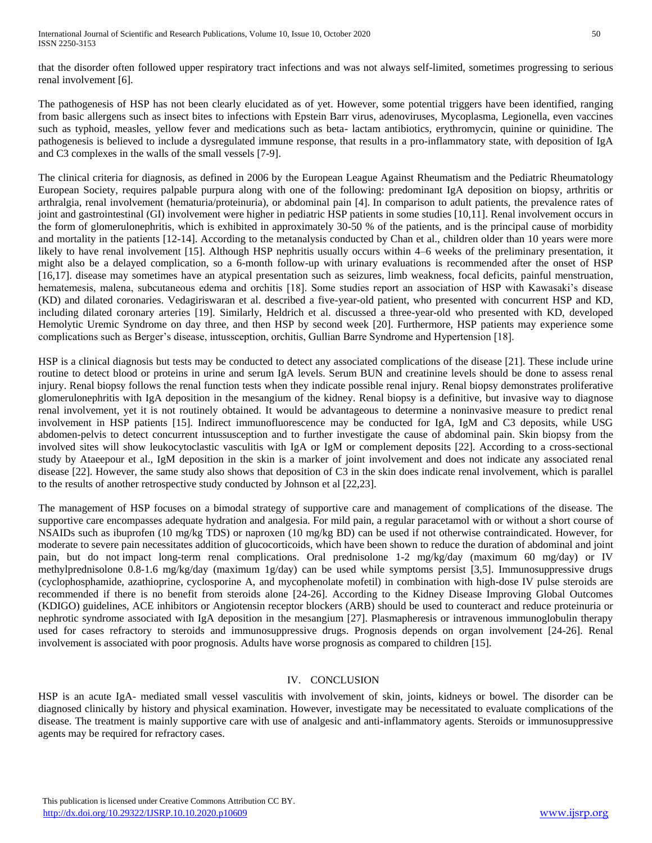that the disorder often followed upper respiratory tract infections and was not always self-limited, sometimes progressing to serious renal involvement [6].

The pathogenesis of HSP has not been clearly elucidated as of yet. However, some potential triggers have been identified, ranging from basic allergens such as insect bites to infections with Epstein Barr virus, adenoviruses, Mycoplasma, Legionella, even vaccines such as typhoid, measles, yellow fever and medications such as beta- lactam antibiotics, erythromycin, quinine or quinidine. The pathogenesis is believed to include a dysregulated immune response, that results in a pro-inflammatory state, with deposition of IgA and C3 complexes in the walls of the small vessels [7-9].

The clinical criteria for diagnosis, as defined in 2006 by the European League Against Rheumatism and the Pediatric Rheumatology European Society, requires palpable purpura along with one of the following: predominant IgA deposition on biopsy, arthritis or arthralgia, renal involvement (hematuria/proteinuria), or abdominal pain [4]. In comparison to adult patients, the prevalence rates of joint and gastrointestinal (GI) involvement were higher in pediatric HSP patients in some studies [10,11]. Renal involvement occurs in the form of glomerulonephritis, which is exhibited in approximately 30-50 % of the patients, and is the principal cause of morbidity and mortality in the patients [12-14]. According to the metanalysis conducted by Chan et al., children older than 10 years were more likely to have renal involvement [15]. Although HSP nephritis usually occurs within 4–6 weeks of the preliminary presentation, it might also be a delayed complication, so a 6-month follow-up with urinary evaluations is recommended after the onset of HSP [16,17]. disease may sometimes have an atypical presentation such as seizures, limb weakness, focal deficits, painful menstruation, hematemesis, malena, subcutaneous edema and orchitis [18]. Some studies report an association of HSP with Kawasaki's disease (KD) and dilated coronaries. Vedagiriswaran et al. described a five-year-old patient, who presented with concurrent HSP and KD, including dilated coronary arteries [19]. Similarly, Heldrich et al. discussed a three-year-old who presented with KD, developed Hemolytic Uremic Syndrome on day three, and then HSP by second week [20]. Furthermore, HSP patients may experience some complications such as Berger's disease, intussception, orchitis, Gullian Barre Syndrome and Hypertension [18].

HSP is a clinical diagnosis but tests may be conducted to detect any associated complications of the disease [21]. These include urine routine to detect blood or proteins in urine and serum IgA levels. Serum BUN and creatinine levels should be done to assess renal injury. Renal biopsy follows the renal function tests when they indicate possible renal injury. Renal biopsy demonstrates proliferative glomerulonephritis with IgA deposition in the mesangium of the kidney. Renal biopsy is a definitive, but invasive way to diagnose renal involvement, yet it is not routinely obtained. It would be advantageous to determine a noninvasive measure to predict renal involvement in HSP patients [15]. Indirect immunofluorescence may be conducted for IgA, IgM and C3 deposits, while USG abdomen-pelvis to detect concurrent intussusception and to further investigate the cause of abdominal pain. Skin biopsy from the involved sites will show leukocytoclastic vasculitis with IgA or IgM or complement deposits [22]. According to a cross-sectional study by Ataeepour et al., IgM deposition in the skin is a marker of joint involvement and does not indicate any associated renal disease [22]. However, the same study also shows that deposition of C3 in the skin does indicate renal involvement, which is parallel to the results of another retrospective study conducted by Johnson et al [22,23].

The management of HSP focuses on a bimodal strategy of supportive care and management of complications of the disease. The supportive care encompasses adequate hydration and analgesia. For mild pain, a regular paracetamol with or without a short course of NSAIDs such as ibuprofen (10 mg/kg TDS) or naproxen (10 mg/kg BD) can be used if not otherwise contraindicated. However, for moderate to severe pain necessitates addition of glucocorticoids, which have been shown to reduce the duration of abdominal and joint pain, but do not impact long-term renal complications. Oral prednisolone 1-2 mg/kg/day (maximum 60 mg/day) or IV methylprednisolone 0.8-1.6 mg/kg/day (maximum 1g/day) can be used while symptoms persist [3,5]. Immunosuppressive drugs (cyclophosphamide, azathioprine, cyclosporine A, and mycophenolate mofetil) in combination with high-dose IV pulse steroids are recommended if there is no benefit from steroids alone [24-26]. According to the Kidney Disease Improving Global Outcomes (KDIGO) guidelines, ACE inhibitors or Angiotensin receptor blockers (ARB) should be used to counteract and reduce proteinuria or nephrotic syndrome associated with IgA deposition in the mesangium [27]. Plasmapheresis or intravenous immunoglobulin therapy used for cases refractory to steroids and immunosuppressive drugs. Prognosis depends on organ involvement [24-26]. Renal involvement is associated with poor prognosis. Adults have worse prognosis as compared to children [15].

# IV. CONCLUSION

HSP is an acute IgA- mediated small vessel vasculitis with involvement of skin, joints, kidneys or bowel. The disorder can be diagnosed clinically by history and physical examination. However, investigate may be necessitated to evaluate complications of the disease. The treatment is mainly supportive care with use of analgesic and anti-inflammatory agents. Steroids or immunosuppressive agents may be required for refractory cases.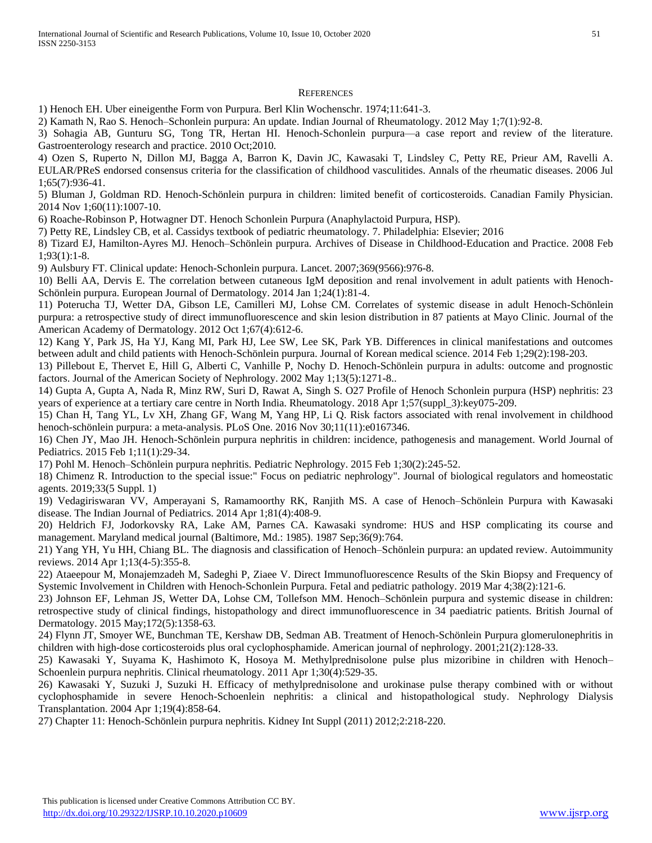#### **REFERENCES**

1) Henoch EH. Uber eineigenthe Form von Purpura. Berl Klin Wochenschr. 1974;11:641-3.

2) Kamath N, Rao S. Henoch–Schonlein purpura: An update. Indian Journal of Rheumatology. 2012 May 1;7(1):92-8.

3) Sohagia AB, Gunturu SG, Tong TR, Hertan HI. Henoch-Schonlein purpura—a case report and review of the literature. Gastroenterology research and practice. 2010 Oct;2010.

4) Ozen S, Ruperto N, Dillon MJ, Bagga A, Barron K, Davin JC, Kawasaki T, Lindsley C, Petty RE, Prieur AM, Ravelli A. EULAR/PReS endorsed consensus criteria for the classification of childhood vasculitides. Annals of the rheumatic diseases. 2006 Jul 1;65(7):936-41.

5) Bluman J, Goldman RD. Henoch-Schönlein purpura in children: limited benefit of corticosteroids. Canadian Family Physician. 2014 Nov 1;60(11):1007-10.

6) Roache-Robinson P, Hotwagner DT. Henoch Schonlein Purpura (Anaphylactoid Purpura, HSP).

7) Petty RE, Lindsley CB, et al. Cassidys textbook of pediatric rheumatology. 7. Philadelphia: Elsevier; 2016

8) Tizard EJ, Hamilton-Ayres MJ. Henoch–Schönlein purpura. Archives of Disease in Childhood-Education and Practice. 2008 Feb 1;93(1):1-8.

9) Aulsbury FT. Clinical update: Henoch-Schonlein purpura. Lancet. 2007;369(9566):976-8.

10) Belli AA, Dervis E. The correlation between cutaneous IgM deposition and renal involvement in adult patients with Henoch-Schönlein purpura. European Journal of Dermatology. 2014 Jan 1;24(1):81-4.

11) Poterucha TJ, Wetter DA, Gibson LE, Camilleri MJ, Lohse CM. Correlates of systemic disease in adult Henoch-Schönlein purpura: a retrospective study of direct immunofluorescence and skin lesion distribution in 87 patients at Mayo Clinic. Journal of the American Academy of Dermatology. 2012 Oct 1;67(4):612-6.

12) Kang Y, Park JS, Ha YJ, Kang MI, Park HJ, Lee SW, Lee SK, Park YB. Differences in clinical manifestations and outcomes between adult and child patients with Henoch-Schönlein purpura. Journal of Korean medical science. 2014 Feb 1;29(2):198-203.

13) Pillebout E, Thervet E, Hill G, Alberti C, Vanhille P, Nochy D. Henoch-Schönlein purpura in adults: outcome and prognostic factors. Journal of the American Society of Nephrology. 2002 May 1;13(5):1271-8..

14) Gupta A, Gupta A, Nada R, Minz RW, Suri D, Rawat A, Singh S. O27 Profile of Henoch Schonlein purpura (HSP) nephritis: 23 years of experience at a tertiary care centre in North India. Rheumatology. 2018 Apr 1;57(suppl\_3):key075-209.

15) Chan H, Tang YL, Lv XH, Zhang GF, Wang M, Yang HP, Li Q. Risk factors associated with renal involvement in childhood henoch-schönlein purpura: a meta-analysis. PLoS One. 2016 Nov 30;11(11):e0167346.

16) Chen JY, Mao JH. Henoch-Schönlein purpura nephritis in children: incidence, pathogenesis and management. World Journal of Pediatrics. 2015 Feb 1;11(1):29-34.

17) Pohl M. Henoch–Schönlein purpura nephritis. Pediatric Nephrology. 2015 Feb 1;30(2):245-52.

18) Chimenz R. Introduction to the special issue:" Focus on pediatric nephrology". Journal of biological regulators and homeostatic agents. 2019;33(5 Suppl. 1)

19) Vedagiriswaran VV, Amperayani S, Ramamoorthy RK, Ranjith MS. A case of Henoch–Schönlein Purpura with Kawasaki disease. The Indian Journal of Pediatrics. 2014 Apr 1;81(4):408-9.

20) Heldrich FJ, Jodorkovsky RA, Lake AM, Parnes CA. Kawasaki syndrome: HUS and HSP complicating its course and management. Maryland medical journal (Baltimore, Md.: 1985). 1987 Sep;36(9):764.

21) Yang YH, Yu HH, Chiang BL. The diagnosis and classification of Henoch–Schönlein purpura: an updated review. Autoimmunity reviews. 2014 Apr 1;13(4-5):355-8.

22) Ataeepour M, Monajemzadeh M, Sadeghi P, Ziaee V. Direct Immunofluorescence Results of the Skin Biopsy and Frequency of Systemic Involvement in Children with Henoch-Schonlein Purpura. Fetal and pediatric pathology. 2019 Mar 4;38(2):121-6.

23) Johnson EF, Lehman JS, Wetter DA, Lohse CM, Tollefson MM. Henoch–Schönlein purpura and systemic disease in children: retrospective study of clinical findings, histopathology and direct immunofluorescence in 34 paediatric patients. British Journal of Dermatology. 2015 May;172(5):1358-63.

24) Flynn JT, Smoyer WE, Bunchman TE, Kershaw DB, Sedman AB. Treatment of Henoch-Schönlein Purpura glomerulonephritis in children with high-dose corticosteroids plus oral cyclophosphamide. American journal of nephrology. 2001;21(2):128-33.

25) Kawasaki Y, Suyama K, Hashimoto K, Hosoya M. Methylprednisolone pulse plus mizoribine in children with Henoch– Schoenlein purpura nephritis. Clinical rheumatology. 2011 Apr 1;30(4):529-35.

26) Kawasaki Y, Suzuki J, Suzuki H. Efficacy of methylprednisolone and urokinase pulse therapy combined with or without cyclophosphamide in severe Henoch-Schoenlein nephritis: a clinical and histopathological study. Nephrology Dialysis Transplantation. 2004 Apr 1;19(4):858-64.

27) Chapter 11: Henoch-Schönlein purpura nephritis. Kidney Int Suppl (2011) 2012;2:218-220.